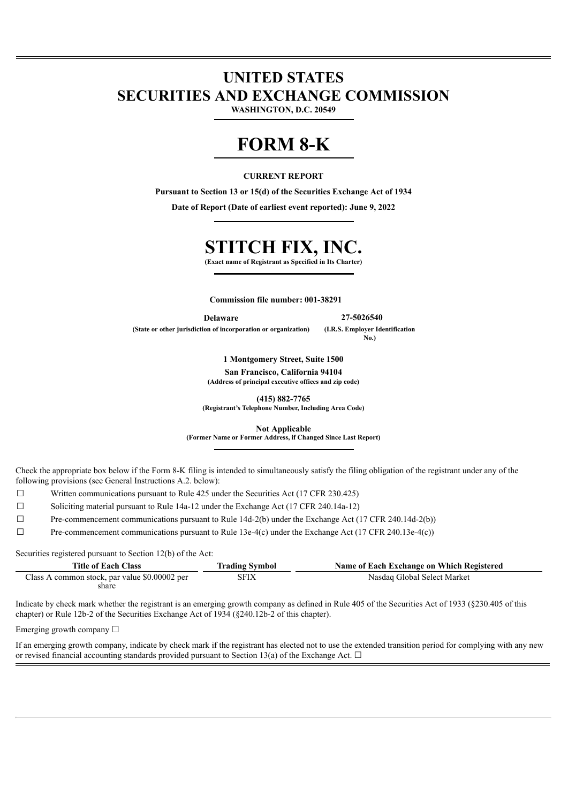# **UNITED STATES SECURITIES AND EXCHANGE COMMISSION**

**WASHINGTON, D.C. 20549**

# **FORM 8-K**

# **CURRENT REPORT**

**Pursuant to Section 13 or 15(d) of the Securities Exchange Act of 1934**

**Date of Report (Date of earliest event reported): June 9, 2022**

# **STITCH FIX, INC.**

**(Exact name of Registrant as Specified in Its Charter)**

**Commission file number: 001-38291**

**Delaware 27-5026540**

**(State or other jurisdiction of incorporation or organization) (I.R.S. Employer Identification No.)**

> **1 Montgomery Street, Suite 1500 San Francisco, California 94104 (Address of principal executive offices and zip code)**

**(415) 882-7765 (Registrant's Telephone Number, Including Area Code)**

**Not Applicable (Former Name or Former Address, if Changed Since Last Report)**

Check the appropriate box below if the Form 8-K filing is intended to simultaneously satisfy the filing obligation of the registrant under any of the following provisions (see General Instructions A.2. below):

- ☐ Written communications pursuant to Rule 425 under the Securities Act (17 CFR 230.425)
- ☐ Soliciting material pursuant to Rule 14a-12 under the Exchange Act (17 CFR 240.14a-12)
- $\Box$  Pre-commencement communications pursuant to Rule 14d-2(b) under the Exchange Act (17 CFR 240.14d-2(b))

 $\Box$  Pre-commencement communications pursuant to Rule 13e-4(c) under the Exchange Act (17 CFR 240.13e-4(c))

Securities registered pursuant to Section 12(b) of the Act:

| <b>Title of Each Class</b>                             | <b>Trading Symbol</b> | Name of Each Exchange on Which Registered |
|--------------------------------------------------------|-----------------------|-------------------------------------------|
| Class A common stock, par value \$0.00002 per<br>share | SFIX                  | Nasdaq Global Select Market               |

Indicate by check mark whether the registrant is an emerging growth company as defined in Rule 405 of the Securities Act of 1933 (§230.405 of this chapter) or Rule 12b-2 of the Securities Exchange Act of 1934 (§240.12b-2 of this chapter).

Emerging growth company  $\Box$ 

If an emerging growth company, indicate by check mark if the registrant has elected not to use the extended transition period for complying with any new or revised financial accounting standards provided pursuant to Section 13(a) of the Exchange Act.  $\Box$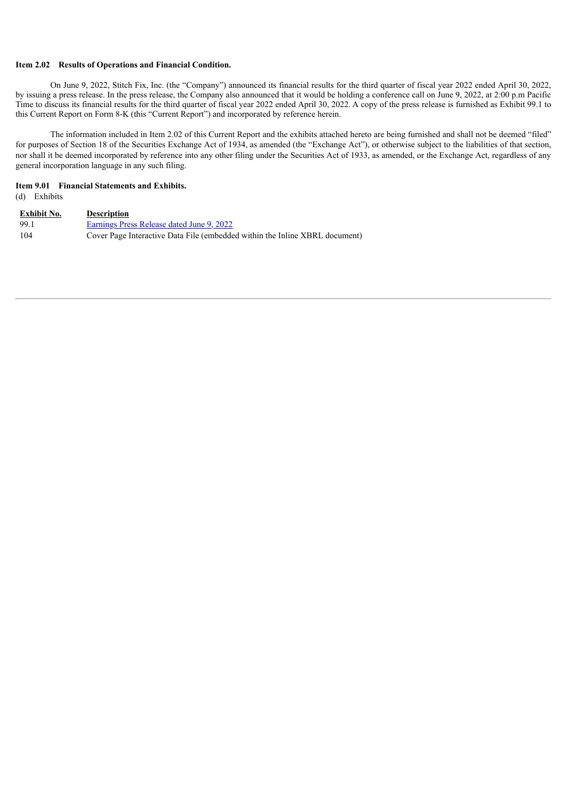#### **Item 2.02 Results of Operations and Financial Condition.**

On June 9, 2022, Stitch Fix, Inc. (the "Company") announced its financial results for the third quarter of fiscal year 2022 ended April 30, 2022, by issuing a press release. In the press release, the Company also announced that it would be holding a conference call on June 9, 2022, at 2:00 p.m Pacific Time to discuss its financial results for the third quarter of fiscal year 2022 ended April 30, 2022. A copy of the press release is furnished as Exhibit 99.1 to this Current Report on Form 8-K (this "Current Report") and incorporated by reference herein.

The information included in Item 2.02 of this Current Report and the exhibits attached hereto are being furnished and shall not be deemed "filed" for purposes of Section 18 of the Securities Exchange Act of 1934, as amended (the "Exchange Act"), or otherwise subject to the liabilities of that section, nor shall it be deemed incorporated by reference into any other filing under the Securities Act of 1933, as amended, or the Exchange Act, regardless of any general incorporation language in any such filing.

# **Item 9.01 Financial Statements and Exhibits.**

(d) Exhibits

| <b>Exhibit No.</b> | <b>Description</b>                                                          |
|--------------------|-----------------------------------------------------------------------------|
| 99.1               | Earnings Press Release dated June 9, 2022                                   |
| 104                | Cover Page Interactive Data File (embedded within the Inline XBRL document) |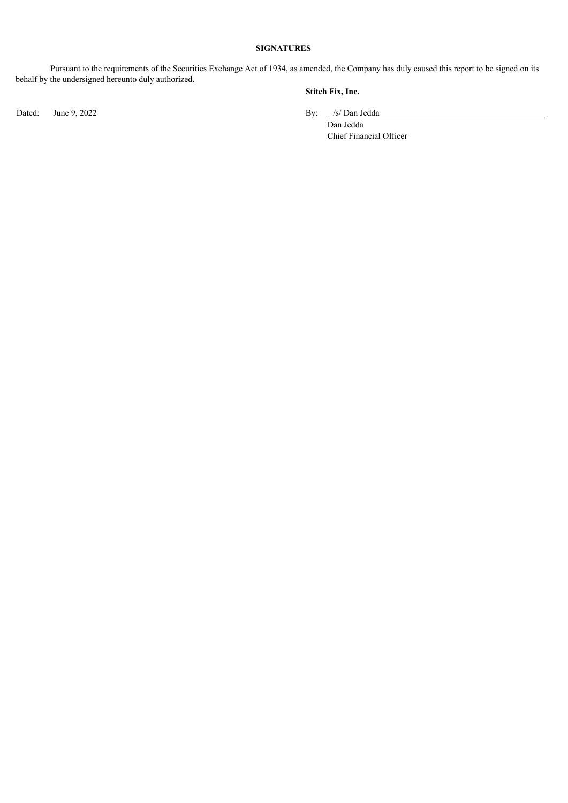# **SIGNATURES**

Pursuant to the requirements of the Securities Exchange Act of 1934, as amended, the Company has duly caused this report to be signed on its behalf by the undersigned hereunto duly authorized.

Dated: June 9, 2022 By: /s/ Dan Jedda

# **Stitch Fix, Inc.**

Dan Jedda Chief Financial Officer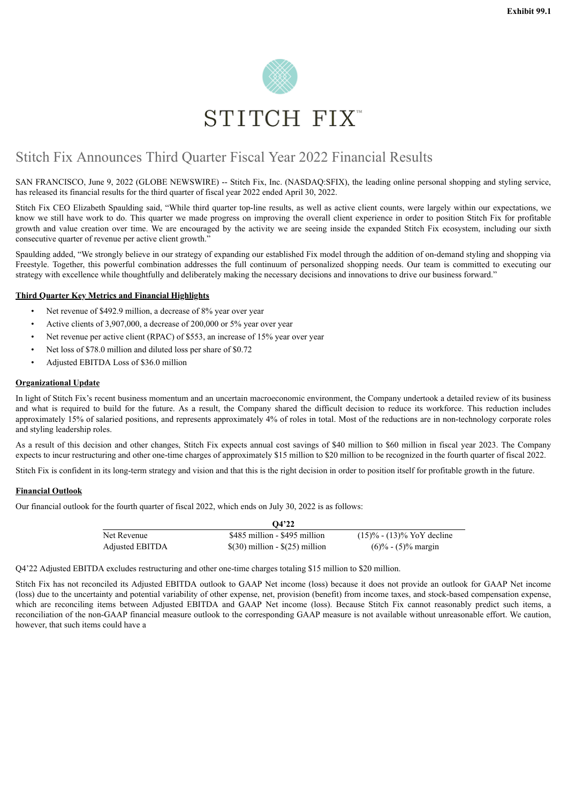

# <span id="page-3-0"></span>Stitch Fix Announces Third Quarter Fiscal Year 2022 Financial Results

SAN FRANCISCO, June 9, 2022 (GLOBE NEWSWIRE) -- Stitch Fix, Inc. (NASDAQ:SFIX), the leading online personal shopping and styling service, has released its financial results for the third quarter of fiscal year 2022 ended April 30, 2022.

Stitch Fix CEO Elizabeth Spaulding said, "While third quarter top-line results, as well as active client counts, were largely within our expectations, we know we still have work to do. This quarter we made progress on improving the overall client experience in order to position Stitch Fix for profitable growth and value creation over time. We are encouraged by the activity we are seeing inside the expanded Stitch Fix ecosystem, including our sixth consecutive quarter of revenue per active client growth."

Spaulding added, "We strongly believe in our strategy of expanding our established Fix model through the addition of on-demand styling and shopping via Freestyle. Together, this powerful combination addresses the full continuum of personalized shopping needs. Our team is committed to executing our strategy with excellence while thoughtfully and deliberately making the necessary decisions and innovations to drive our business forward."

# **Third Quarter Key Metrics and Financial Highlights**

- Net revenue of \$492.9 million, a decrease of 8% year over year
- Active clients of 3,907,000, a decrease of 200,000 or 5% year over year
- Net revenue per active client (RPAC) of \$553, an increase of 15% year over year
- Net loss of \$78.0 million and diluted loss per share of \$0.72
- Adjusted EBITDA Loss of \$36.0 million

#### **Organizational Update**

In light of Stitch Fix's recent business momentum and an uncertain macroeconomic environment, the Company undertook a detailed review of its business and what is required to build for the future. As a result, the Company shared the difficult decision to reduce its workforce. This reduction includes approximately 15% of salaried positions, and represents approximately 4% of roles in total. Most of the reductions are in non-technology corporate roles and styling leadership roles.

As a result of this decision and other changes, Stitch Fix expects annual cost savings of \$40 million to \$60 million in fiscal year 2023. The Company expects to incur restructuring and other one-time charges of approximately \$15 million to \$20 million to be recognized in the fourth quarter of fiscal 2022.

Stitch Fix is confident in its long-term strategy and vision and that this is the right decision in order to position itself for profitable growth in the future.

# **Financial Outlook**

Our financial outlook for the fourth quarter of fiscal 2022, which ends on July 30, 2022 is as follows:

|                        | Q4'22                               |                                 |
|------------------------|-------------------------------------|---------------------------------|
| Net Revenue            | \$485 million - \$495 million       | $(15)\%$ - $(13)\%$ YoY decline |
| <b>Adjusted EBITDA</b> | $\$(30)$ million - $\$(25)$ million | $(6)\%$ - $(5)\%$ margin        |

Q4'22 Adjusted EBITDA excludes restructuring and other one-time charges totaling \$15 million to \$20 million.

Stitch Fix has not reconciled its Adjusted EBITDA outlook to GAAP Net income (loss) because it does not provide an outlook for GAAP Net income (loss) due to the uncertainty and potential variability of other expense, net, provision (benefit) from income taxes, and stock-based compensation expense, which are reconciling items between Adjusted EBITDA and GAAP Net income (loss). Because Stitch Fix cannot reasonably predict such items, a reconciliation of the non-GAAP financial measure outlook to the corresponding GAAP measure is not available without unreasonable effort. We caution, however, that such items could have a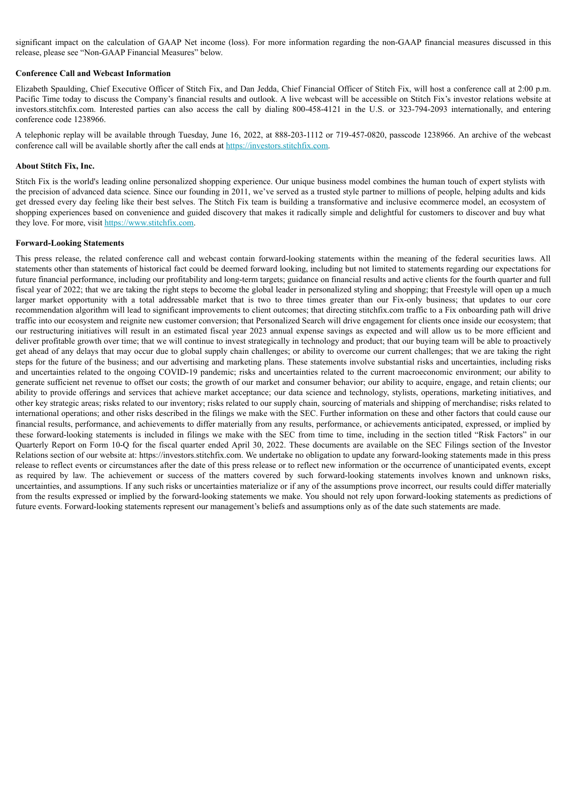significant impact on the calculation of GAAP Net income (loss). For more information regarding the non-GAAP financial measures discussed in this release, please see "Non-GAAP Financial Measures" below.

#### **Conference Call and Webcast Information**

Elizabeth Spaulding, Chief Executive Officer of Stitch Fix, and Dan Jedda, Chief Financial Officer of Stitch Fix, will host a conference call at 2:00 p.m. Pacific Time today to discuss the Company's financial results and outlook. A live webcast will be accessible on Stitch Fix's investor relations website at investors.stitchfix.com. Interested parties can also access the call by dialing 800-458-4121 in the U.S. or 323-794-2093 internationally, and entering conference code 1238966.

A telephonic replay will be available through Tuesday, June 16, 2022, at 888-203-1112 or 719-457-0820, passcode 1238966. An archive of the webcast conference call will be available shortly after the call ends at https://investors.stitchfix.com.

#### **About Stitch Fix, Inc.**

Stitch Fix is the world's leading online personalized shopping experience. Our unique business model combines the human touch of expert stylists with the precision of advanced data science. Since our founding in 2011, we've served as a trusted style partner to millions of people, helping adults and kids get dressed every day feeling like their best selves. The Stitch Fix team is building a transformative and inclusive ecommerce model, an ecosystem of shopping experiences based on convenience and guided discovery that makes it radically simple and delightful for customers to discover and buy what they love. For more, visit https://www.stitchfix.com.

#### **Forward-Looking Statements**

This press release, the related conference call and webcast contain forward-looking statements within the meaning of the federal securities laws. All statements other than statements of historical fact could be deemed forward looking, including but not limited to statements regarding our expectations for future financial performance, including our profitability and long-term targets; guidance on financial results and active clients for the fourth quarter and full fiscal year of 2022; that we are taking the right steps to become the global leader in personalized styling and shopping; that Freestyle will open up a much larger market opportunity with a total addressable market that is two to three times greater than our Fix-only business; that updates to our core recommendation algorithm will lead to significant improvements to client outcomes; that directing stitchfix.com traffic to a Fix onboarding path will drive traffic into our ecosystem and reignite new customer conversion; that Personalized Search will drive engagement for clients once inside our ecosystem; that our restructuring initiatives will result in an estimated fiscal year 2023 annual expense savings as expected and will allow us to be more efficient and deliver profitable growth over time; that we will continue to invest strategically in technology and product; that our buying team will be able to proactively get ahead of any delays that may occur due to global supply chain challenges; or ability to overcome our current challenges; that we are taking the right steps for the future of the business; and our advertising and marketing plans. These statements involve substantial risks and uncertainties, including risks and uncertainties related to the ongoing COVID-19 pandemic; risks and uncertainties related to the current macroeconomic environment; our ability to generate sufficient net revenue to offset our costs; the growth of our market and consumer behavior; our ability to acquire, engage, and retain clients; our ability to provide offerings and services that achieve market acceptance; our data science and technology, stylists, operations, marketing initiatives, and other key strategic areas; risks related to our inventory; risks related to our supply chain, sourcing of materials and shipping of merchandise; risks related to international operations; and other risks described in the filings we make with the SEC. Further information on these and other factors that could cause our financial results, performance, and achievements to differ materially from any results, performance, or achievements anticipated, expressed, or implied by these forward-looking statements is included in filings we make with the SEC from time to time, including in the section titled "Risk Factors" in our Quarterly Report on Form 10-Q for the fiscal quarter ended April 30, 2022. These documents are available on the SEC Filings section of the Investor Relations section of our website at: https://investors.stitchfix.com. We undertake no obligation to update any forward-looking statements made in this press release to reflect events or circumstances after the date of this press release or to reflect new information or the occurrence of unanticipated events, except as required by law. The achievement or success of the matters covered by such forward-looking statements involves known and unknown risks, uncertainties, and assumptions. If any such risks or uncertainties materialize or if any of the assumptions prove incorrect, our results could differ materially from the results expressed or implied by the forward-looking statements we make. You should not rely upon forward-looking statements as predictions of future events. Forward-looking statements represent our management's beliefs and assumptions only as of the date such statements are made.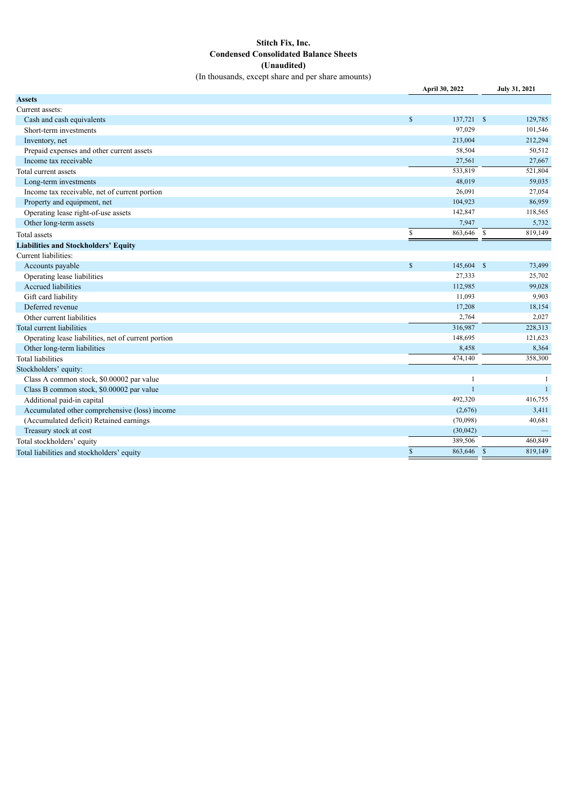# **Stitch Fix, Inc. Condensed Consolidated Balance Sheets (Unaudited)**

(In thousands, except share and per share amounts)

|                                                     | April 30, 2022               | July 31, 2021 |
|-----------------------------------------------------|------------------------------|---------------|
| <b>Assets</b>                                       |                              |               |
| Current assets:                                     |                              |               |
| Cash and cash equivalents                           | $\mathbf S$<br>$137,721$ \$  | 129,785       |
| Short-term investments                              | 97,029                       | 101,546       |
| Inventory, net                                      | 213,004                      | 212,294       |
| Prepaid expenses and other current assets           | 58,504                       | 50,512        |
| Income tax receivable                               | 27,561                       | 27,667        |
| Total current assets                                | 533,819                      | 521,804       |
| Long-term investments                               | 48,019                       | 59,035        |
| Income tax receivable, net of current portion       | 26,091                       | 27,054        |
| Property and equipment, net                         | 104,923                      | 86,959        |
| Operating lease right-of-use assets                 | 142,847                      | 118,565       |
| Other long-term assets                              | 7,947                        | 5,732         |
| <b>Total</b> assets                                 | $863,646$ \$<br>$\mathbb{S}$ | 819,149       |
| <b>Liabilities and Stockholders' Equity</b>         |                              |               |
| Current liabilities:                                |                              |               |
| Accounts payable                                    | $\mathbb{S}$<br>145,604 \$   | 73,499        |
| Operating lease liabilities                         | 27,333                       | 25,702        |
| <b>Accrued liabilities</b>                          | 112,985                      | 99,028        |
| Gift card liability                                 | 11,093                       | 9,903         |
| Deferred revenue                                    | 17,208                       | 18,154        |
| Other current liabilities                           | 2,764                        | 2,027         |
| Total current liabilities                           | 316,987                      | 228,313       |
| Operating lease liabilities, net of current portion | 148,695                      | 121,623       |
| Other long-term liabilities                         | 8,458                        | 8,364         |
| <b>Total liabilities</b>                            | 474,140                      | 358,300       |
| Stockholders' equity:                               |                              |               |
| Class A common stock, \$0.00002 par value           |                              |               |
| Class B common stock, \$0.00002 par value           |                              | $\mathbf{1}$  |
| Additional paid-in capital                          | 492,320                      | 416,755       |
| Accumulated other comprehensive (loss) income       | (2,676)                      | 3,411         |
| (Accumulated deficit) Retained earnings             | (70,098)                     | 40,681        |
| Treasury stock at cost                              | (30,042)                     |               |
| Total stockholders' equity                          | 389,506                      | 460,849       |
| Total liabilities and stockholders' equity          | $\mathbf S$<br>863,646 \$    | 819,149       |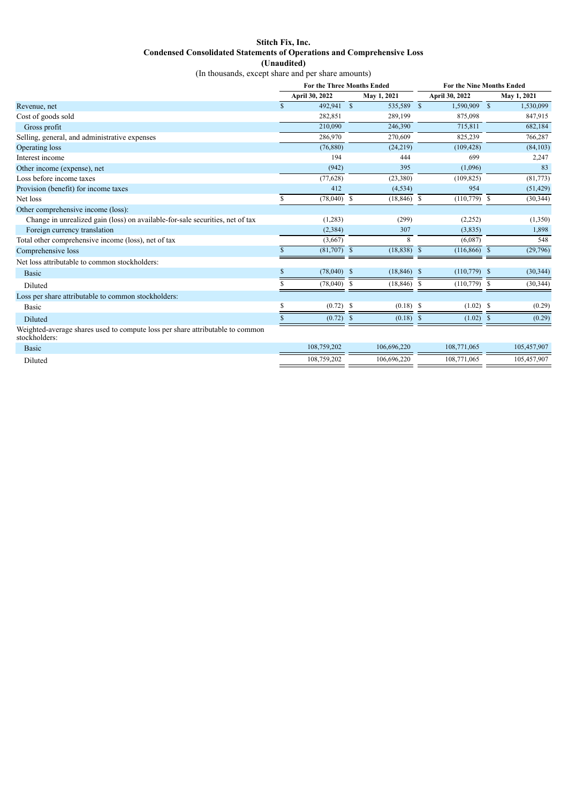# **Stitch Fix, Inc. Condensed Consolidated Statements of Operations and Comprehensive Loss (Unaudited)**

(In thousands, except share and per share amounts)

|                                                                                                | <b>For the Three Months Ended</b> |                |             | For the Nine Months Ended |                |                 |    |             |
|------------------------------------------------------------------------------------------------|-----------------------------------|----------------|-------------|---------------------------|----------------|-----------------|----|-------------|
|                                                                                                |                                   | April 30, 2022 | May 1, 2021 |                           | April 30, 2022 |                 |    | May 1, 2021 |
| Revenue, net                                                                                   | S                                 | 492,941 \$     |             | 535,589 \$                |                | 1,590,909 \$    |    | 1,530,099   |
| Cost of goods sold                                                                             |                                   | 282,851        |             | 289,199                   |                | 875,098         |    | 847,915     |
| Gross profit                                                                                   |                                   | 210.090        |             | 246,390                   |                | 715,811         |    | 682,184     |
| Selling, general, and administrative expenses                                                  |                                   | 286,970        |             | 270,609                   |                | 825,239         |    | 766,287     |
| Operating loss                                                                                 |                                   | (76, 880)      |             | (24, 219)                 |                | (109, 428)      |    | (84, 103)   |
| Interest income                                                                                |                                   | 194            |             | 444                       |                | 699             |    | 2,247       |
| Other income (expense), net                                                                    |                                   | (942)          |             | 395                       |                | (1,096)         |    | 83          |
| Loss before income taxes                                                                       |                                   | (77, 628)      |             | (23, 380)                 |                | (109, 825)      |    | (81, 773)   |
| Provision (benefit) for income taxes                                                           |                                   | 412            |             | (4, 534)                  |                | 954             |    | (51, 429)   |
| Net loss                                                                                       | S                                 | $(78,040)$ \$  |             | $(18, 846)$ \$            |                | $(110, 779)$ \$ |    | (30, 344)   |
| Other comprehensive income (loss):                                                             |                                   |                |             |                           |                |                 |    |             |
| Change in unrealized gain (loss) on available-for-sale securities, net of tax                  |                                   | (1,283)        |             | (299)                     |                | (2,252)         |    | (1,350)     |
| Foreign currency translation                                                                   |                                   | (2, 384)       |             | 307                       |                | (3,835)         |    | 1,898       |
| Total other comprehensive income (loss), net of tax                                            |                                   | (3,667)        |             | 8                         |                | (6,087)         |    | 548         |
| Comprehensive loss                                                                             |                                   | $(81,707)$ \$  |             | (18, 838)                 | <sup>S</sup>   | $(116, 866)$ \$ |    | (29,796)    |
| Net loss attributable to common stockholders:                                                  |                                   |                |             |                           |                |                 |    |             |
| <b>Basic</b>                                                                                   | \$                                | $(78,040)$ \$  |             | $(18, 846)$ \$            |                | $(110, 779)$ \$ |    | (30, 344)   |
| Diluted                                                                                        |                                   | (78,040)       | -S          | (18, 846)                 | S              | (110, 779)      | -S | (30, 344)   |
| Loss per share attributable to common stockholders:                                            |                                   |                |             |                           |                |                 |    |             |
| Basic                                                                                          | ς                                 | $(0.72)$ \$    |             | $(0.18)$ \$               |                | $(1.02)$ \$     |    | (0.29)      |
| Diluted                                                                                        | S.                                | $(0.72)$ \$    |             | $(0.18)$ \$               |                | $(1.02)$ \$     |    | (0.29)      |
| Weighted-average shares used to compute loss per share attributable to common<br>stockholders: |                                   |                |             |                           |                |                 |    |             |
| <b>Basic</b>                                                                                   |                                   | 108,759,202    |             | 106,696,220               |                | 108,771,065     |    | 105,457,907 |
| Diluted                                                                                        |                                   | 108,759,202    |             | 106.696.220               |                | 108,771,065     |    | 105.457.907 |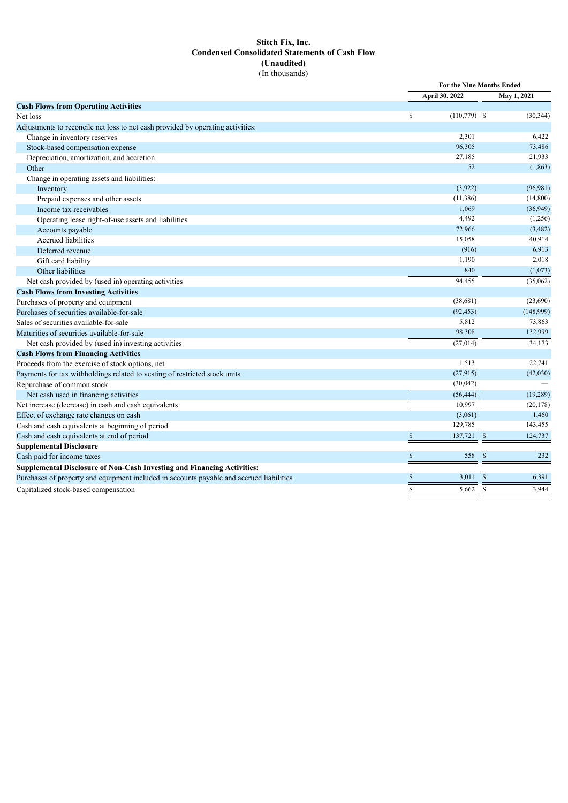# **Stitch Fix, Inc. Condensed Consolidated Statements of Cash Flow (Unaudited)** (In thousands)

|                                                                                          | For the Nine Months Ended |                                   |           |
|------------------------------------------------------------------------------------------|---------------------------|-----------------------------------|-----------|
|                                                                                          | April 30, 2022            | May 1, 2021                       |           |
| <b>Cash Flows from Operating Activities</b>                                              |                           |                                   |           |
| Net loss                                                                                 | \$                        | $(110,779)$ \$                    | (30, 344) |
| Adjustments to reconcile net loss to net cash provided by operating activities:          |                           |                                   |           |
| Change in inventory reserves                                                             |                           | 2,301                             | 6,422     |
| Stock-based compensation expense                                                         |                           | 96,305                            | 73,486    |
| Depreciation, amortization, and accretion                                                |                           | 27,185                            | 21,933    |
| Other                                                                                    |                           | 52                                | (1, 863)  |
| Change in operating assets and liabilities:                                              |                           |                                   |           |
| Inventory                                                                                |                           | (3,922)                           | (96, 981) |
| Prepaid expenses and other assets                                                        |                           | (11, 386)                         | (14, 800) |
| Income tax receivables                                                                   |                           | 1,069                             | (36,949)  |
| Operating lease right-of-use assets and liabilities                                      |                           | 4,492                             | (1,256)   |
| Accounts payable                                                                         |                           | 72,966                            | (3, 482)  |
| <b>Accrued liabilities</b>                                                               |                           | 15,058                            | 40,914    |
| Deferred revenue                                                                         |                           | (916)                             | 6,913     |
| Gift card liability                                                                      |                           | 1,190                             | 2,018     |
| Other liabilities                                                                        |                           | 840                               | (1,073)   |
| Net cash provided by (used in) operating activities                                      |                           | 94,455                            | (35,062)  |
| <b>Cash Flows from Investing Activities</b>                                              |                           |                                   |           |
| Purchases of property and equipment                                                      |                           | (38,681)                          | (23,690)  |
| Purchases of securities available-for-sale                                               |                           | (92, 453)                         | (148,999) |
| Sales of securities available-for-sale                                                   |                           | 5,812                             | 73,863    |
| Maturities of securities available-for-sale                                              |                           | 98,308                            | 132,999   |
| Net cash provided by (used in) investing activities                                      |                           | (27, 014)                         | 34,173    |
| <b>Cash Flows from Financing Activities</b>                                              |                           |                                   |           |
| Proceeds from the exercise of stock options, net                                         |                           | 1,513                             | 22,741    |
| Payments for tax withholdings related to vesting of restricted stock units               |                           | (27,915)                          | (42,030)  |
| Repurchase of common stock                                                               |                           | (30,042)                          |           |
| Net cash used in financing activities                                                    |                           | (56, 444)                         | (19, 289) |
| Net increase (decrease) in cash and cash equivalents                                     |                           | 10,997                            | (20, 178) |
| Effect of exchange rate changes on cash                                                  |                           | (3,061)                           | 1,460     |
| Cash and cash equivalents at beginning of period                                         |                           | 129,785                           | 143,455   |
| Cash and cash equivalents at end of period                                               | \$                        | 137,721<br>$\mathbb{S}$           | 124,737   |
| <b>Supplemental Disclosure</b>                                                           |                           |                                   |           |
| Cash paid for income taxes                                                               | \$                        | 558<br>\$                         | 232       |
| Supplemental Disclosure of Non-Cash Investing and Financing Activities:                  |                           |                                   |           |
| Purchases of property and equipment included in accounts payable and accrued liabilities | S                         | 3,011<br><sup>\$</sup>            | 6,391     |
| Capitalized stock-based compensation                                                     | $\mathbf S$               | $\overline{\mathcal{S}}$<br>5,662 | 3,944     |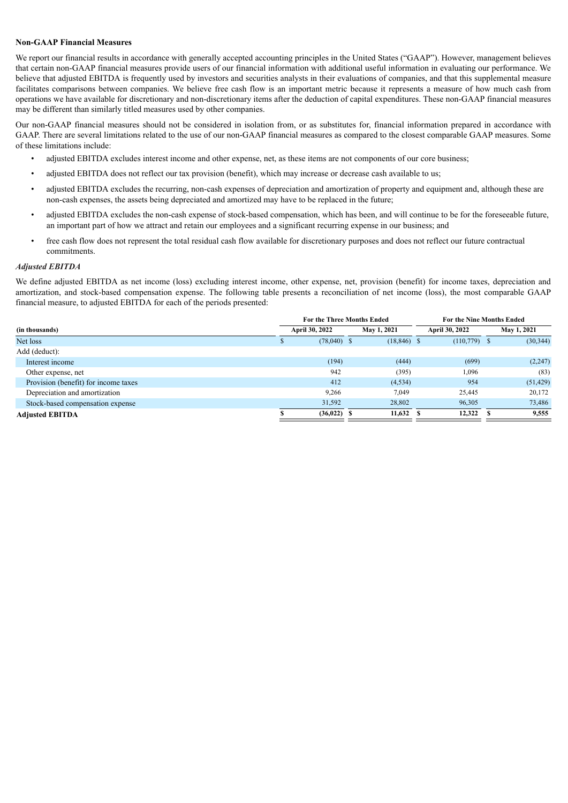#### **Non-GAAP Financial Measures**

We report our financial results in accordance with generally accepted accounting principles in the United States ("GAAP"). However, management believes that certain non-GAAP financial measures provide users of our financial information with additional useful information in evaluating our performance. We believe that adjusted EBITDA is frequently used by investors and securities analysts in their evaluations of companies, and that this supplemental measure facilitates comparisons between companies. We believe free cash flow is an important metric because it represents a measure of how much cash from operations we have available for discretionary and non-discretionary items after the deduction of capital expenditures. These non-GAAP financial measures may be different than similarly titled measures used by other companies.

Our non-GAAP financial measures should not be considered in isolation from, or as substitutes for, financial information prepared in accordance with GAAP. There are several limitations related to the use of our non-GAAP financial measures as compared to the closest comparable GAAP measures. Some of these limitations include:

- adjusted EBITDA excludes interest income and other expense, net, as these items are not components of our core business;
- adjusted EBITDA does not reflect our tax provision (benefit), which may increase or decrease cash available to us;
- adjusted EBITDA excludes the recurring, non-cash expenses of depreciation and amortization of property and equipment and, although these are non-cash expenses, the assets being depreciated and amortized may have to be replaced in the future;
- adjusted EBITDA excludes the non-cash expense of stock-based compensation, which has been, and will continue to be for the foreseeable future, an important part of how we attract and retain our employees and a significant recurring expense in our business; and
- free cash flow does not represent the total residual cash flow available for discretionary purposes and does not reflect our future contractual commitments.

#### *Adjusted EBITDA*

We define adjusted EBITDA as net income (loss) excluding interest income, other expense, net, provision (benefit) for income taxes, depreciation and amortization, and stock-based compensation expense. The following table presents a reconciliation of net income (loss), the most comparable GAAP financial measure, to adjusted EBITDA for each of the periods presented:

|                                      | For the Three Months Ended |               |  | <b>For the Nine Months Ended</b> |  |                |  |             |
|--------------------------------------|----------------------------|---------------|--|----------------------------------|--|----------------|--|-------------|
| (in thousands)                       | April 30, 2022             |               |  | May 1, 2021                      |  | April 30, 2022 |  | May 1, 2021 |
| Net loss                             |                            | $(78,040)$ \$ |  | $(18, 846)$ \$                   |  | $(110,779)$ \$ |  | (30, 344)   |
| Add (deduct):                        |                            |               |  |                                  |  |                |  |             |
| Interest income                      |                            | (194)         |  | (444)                            |  | (699)          |  | (2,247)     |
| Other expense, net                   |                            | 942           |  | (395)                            |  | 1,096          |  | (83)        |
| Provision (benefit) for income taxes |                            | 412           |  | (4, 534)                         |  | 954            |  | (51, 429)   |
| Depreciation and amortization        |                            | 9,266         |  | 7,049                            |  | 25,445         |  | 20,172      |
| Stock-based compensation expense     |                            | 31,592        |  | 28,802                           |  | 96,305         |  | 73,486      |
| <b>Adjusted EBITDA</b>               |                            | $(36,022)$ \$ |  | $11,632$ \$                      |  | 12,322         |  | 9,555       |